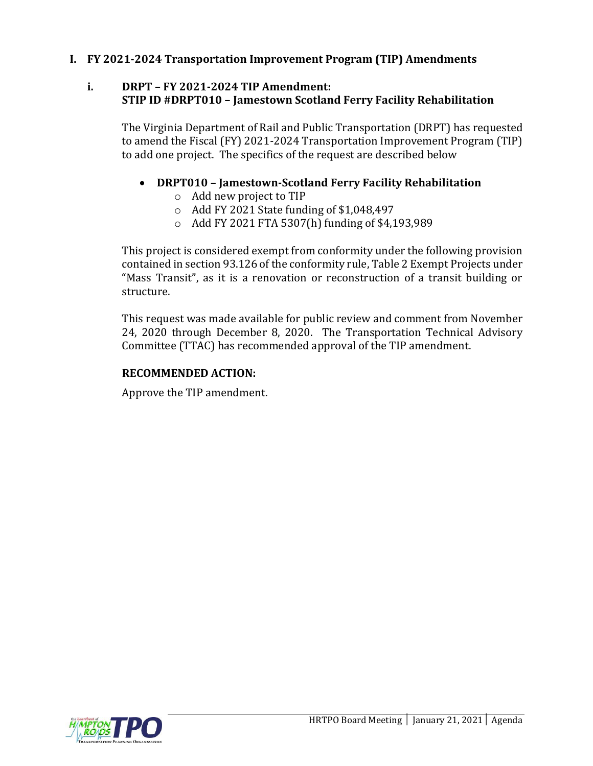## **I. FY 2021-2024 Transportation Improvement Program (TIP) Amendments**

#### **i. DRPT – FY 2021-2024 TIP Amendment: STIP ID #DRPT010 – Jamestown Scotland Ferry Facility Rehabilitation**

The Virginia Department of Rail and Public Transportation (DRPT) has requested to amend the Fiscal (FY) 2021-2024 Transportation Improvement Program (TIP) to add one project. The specifics of the request are described below

#### • **DRPT010 – Jamestown-Scotland Ferry Facility Rehabilitation**

- o Add new project to TIP
- $\circ$  Add FY 2021 State funding of \$1,048,497
- o Add FY 2021 FTA 5307(h) funding of \$4,193,989

This project is considered exempt from conformity under the following provision contained in section 93.126 of the conformity rule, Table 2 Exempt Projects under "Mass Transit", as it is a renovation or reconstruction of a transit building or structure.

This request was made available for public review and comment from November 24, 2020 through December 8, 2020. The Transportation Technical Advisory Committee (TTAC) has recommended approval of the TIP amendment.

#### **RECOMMENDED ACTION:**

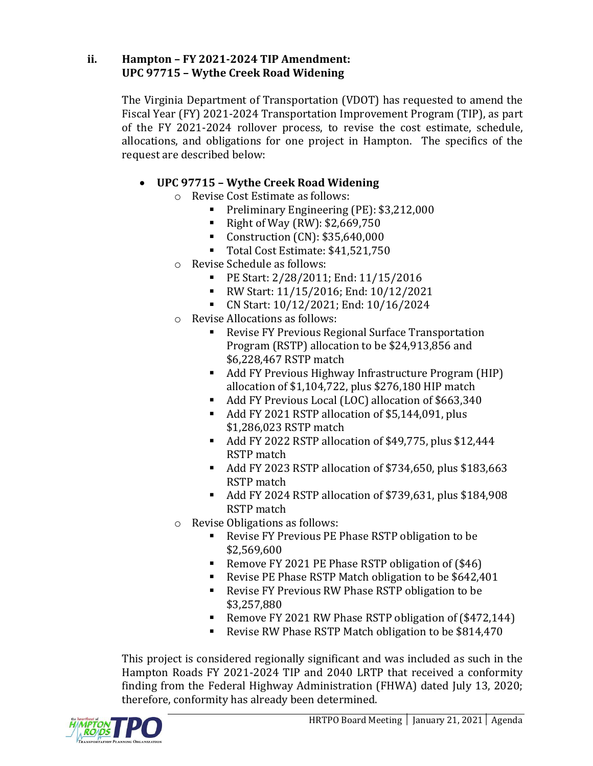## **ii. Hampton – FY 2021-2024 TIP Amendment: UPC 97715 – Wythe Creek Road Widening**

The Virginia Department of Transportation (VDOT) has requested to amend the Fiscal Year (FY) 2021-2024 Transportation Improvement Program (TIP), as part of the FY 2021-2024 rollover process, to revise the cost estimate, schedule, allocations, and obligations for one project in Hampton. The specifics of the request are described below:

# • **UPC 97715 – Wythe Creek Road Widening**

- o Revise Cost Estimate as follows:
	- Preliminary Engineering (PE): \$3,212,000
	- Right of Way (RW):  $$2,669,750$
	- $\blacksquare$  Construction (CN): \$35,640,000
	- Total Cost Estimate: \$41,521,750
- o Revise Schedule as follows:
	- PE Start: 2/28/2011; End: 11/15/2016
	- RW Start: 11/15/2016; End: 10/12/2021
	- CN Start: 10/12/2021; End: 10/16/2024
- o Revise Allocations as follows:
	- Revise FY Previous Regional Surface Transportation Program (RSTP) allocation to be \$24,913,856 and \$6,228,467 RSTP match
	- Add FY Previous Highway Infrastructure Program (HIP) allocation of \$1,104,722, plus \$276,180 HIP match
	- Add FY Previous Local (LOC) allocation of \$663,340
	- Add FY 2021 RSTP allocation of \$5,144,091, plus \$1,286,023 RSTP match
	- Add FY 2022 RSTP allocation of \$49,775, plus \$12,444 RSTP match
	- Add FY 2023 RSTP allocation of \$734,650, plus \$183,663 RSTP match
	- Add FY 2024 RSTP allocation of \$739,631, plus \$184,908 RSTP match
- o Revise Obligations as follows:
	- Revise FY Previous PE Phase RSTP obligation to be \$2,569,600
	- Remove FY 2021 PE Phase RSTP obligation of (\$46)
	- Revise PE Phase RSTP Match obligation to be \$642,401
	- Revise FY Previous RW Phase RSTP obligation to be \$3,257,880
	- Remove FY 2021 RW Phase RSTP obligation of (\$472,144)
	- Revise RW Phase RSTP Match obligation to be \$814,470

This project is considered regionally significant and was included as such in the Hampton Roads FY 2021-2024 TIP and 2040 LRTP that received a conformity finding from the Federal Highway Administration (FHWA) dated July 13, 2020; therefore, conformity has already been determined.

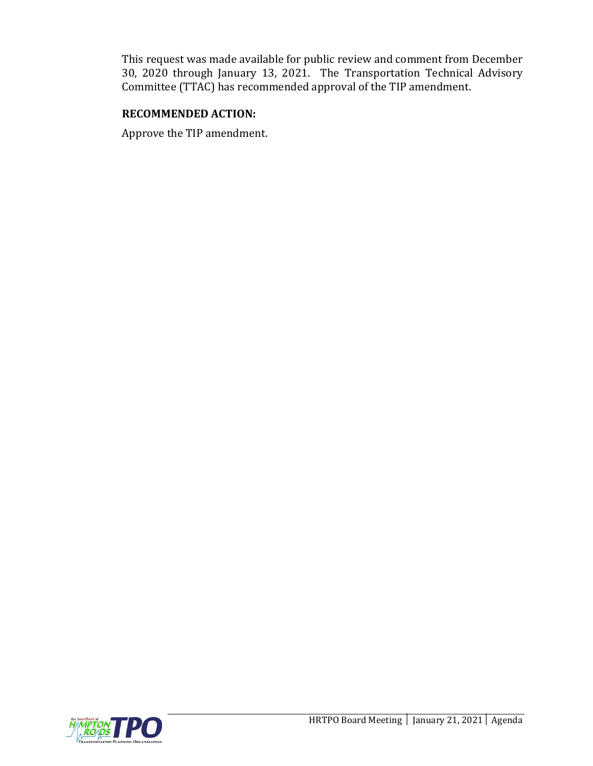This request was made available for public review and comment from December 30, 2020 through January 13, 2021. The Transportation Technical Advisory Committee (TTAC) has recommended approval of the TIP amendment.

#### **RECOMMENDED ACTION:**

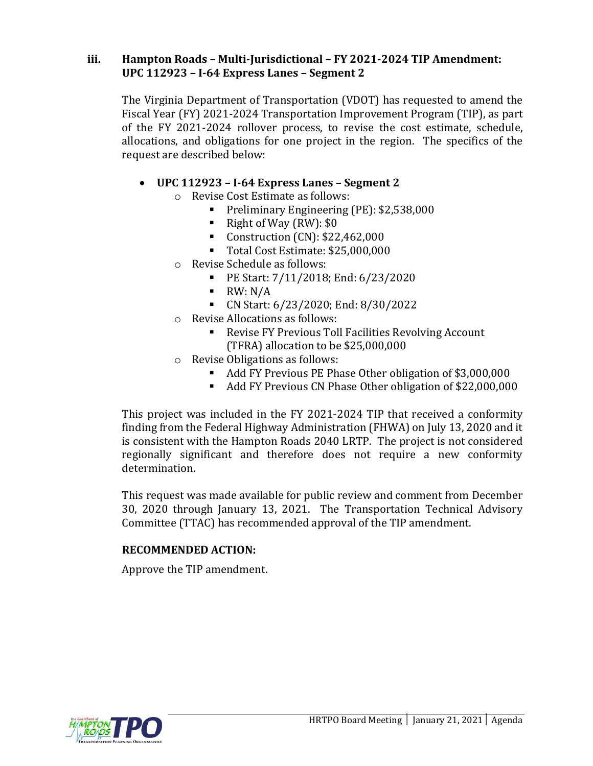### **iii. Hampton Roads – Multi-Jurisdictional – FY 2021-2024 TIP Amendment: UPC 112923 – I-64 Express Lanes – Segment 2**

The Virginia Department of Transportation (VDOT) has requested to amend the Fiscal Year (FY) 2021-2024 Transportation Improvement Program (TIP), as part of the FY 2021-2024 rollover process, to revise the cost estimate, schedule, allocations, and obligations for one project in the region. The specifics of the request are described below:

## • **UPC 112923 – I-64 Express Lanes – Segment 2**

- o Revise Cost Estimate as follows:
	- Preliminary Engineering (PE): \$2,538,000
	- Right of Way (RW): \$0
	- $\blacksquare$  Construction (CN): \$22,462,000
	- Total Cost Estimate: \$25,000,000
- o Revise Schedule as follows:
	- PE Start: 7/11/2018; End: 6/23/2020
	- $\blacksquare$  RW: N/A
	- CN Start: 6/23/2020; End: 8/30/2022
- o Revise Allocations as follows:
	- Revise FY Previous Toll Facilities Revolving Account (TFRA) allocation to be \$25,000,000
- o Revise Obligations as follows:
	- Add FY Previous PE Phase Other obligation of \$3,000,000
	- Add FY Previous CN Phase Other obligation of \$22,000,000

This project was included in the FY 2021-2024 TIP that received a conformity finding from the Federal Highway Administration (FHWA) on July 13, 2020 and it is consistent with the Hampton Roads 2040 LRTP. The project is not considered regionally significant and therefore does not require a new conformity determination.

This request was made available for public review and comment from December 30, 2020 through January 13, 2021. The Transportation Technical Advisory Committee (TTAC) has recommended approval of the TIP amendment.

#### **RECOMMENDED ACTION:**

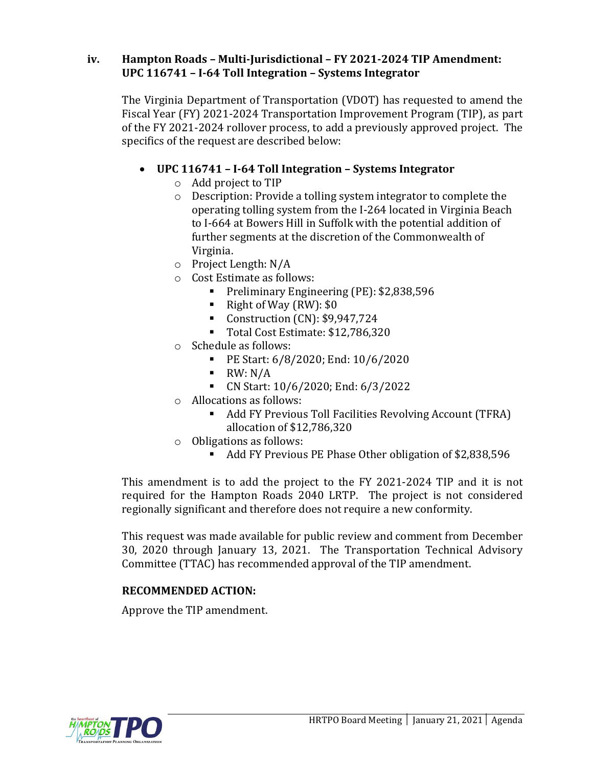## **iv. Hampton Roads – Multi-Jurisdictional – FY 2021-2024 TIP Amendment: UPC 116741 – I-64 Toll Integration – Systems Integrator**

The Virginia Department of Transportation (VDOT) has requested to amend the Fiscal Year (FY) 2021-2024 Transportation Improvement Program (TIP), as part of the FY 2021-2024 rollover process, to add a previously approved project. The specifics of the request are described below:

# • **UPC 116741 – I-64 Toll Integration – Systems Integrator**

- o Add project to TIP
- o Description: Provide a tolling system integrator to complete the operating tolling system from the I-264 located in Virginia Beach to I-664 at Bowers Hill in Suffolk with the potential addition of further segments at the discretion of the Commonwealth of Virginia.
- o Project Length: N/A
- o Cost Estimate as follows:
	- Preliminary Engineering (PE): \$2,838,596
	- Right of Way  $(RW)$ : \$0
	- Construction (CN): \$9,947,724
	- Total Cost Estimate: \$12,786,320
- o Schedule as follows:
	- PE Start: 6/8/2020; End: 10/6/2020
	- $\blacksquare$  RW: N/A
	- CN Start: 10/6/2020; End: 6/3/2022
- o Allocations as follows:
	- Add FY Previous Toll Facilities Revolving Account (TFRA) allocation of \$12,786,320
- o Obligations as follows:
	- Add FY Previous PE Phase Other obligation of \$2,838,596

This amendment is to add the project to the FY 2021-2024 TIP and it is not required for the Hampton Roads 2040 LRTP. The project is not considered regionally significant and therefore does not require a new conformity.

This request was made available for public review and comment from December 30, 2020 through January 13, 2021. The Transportation Technical Advisory Committee (TTAC) has recommended approval of the TIP amendment.

## **RECOMMENDED ACTION:**

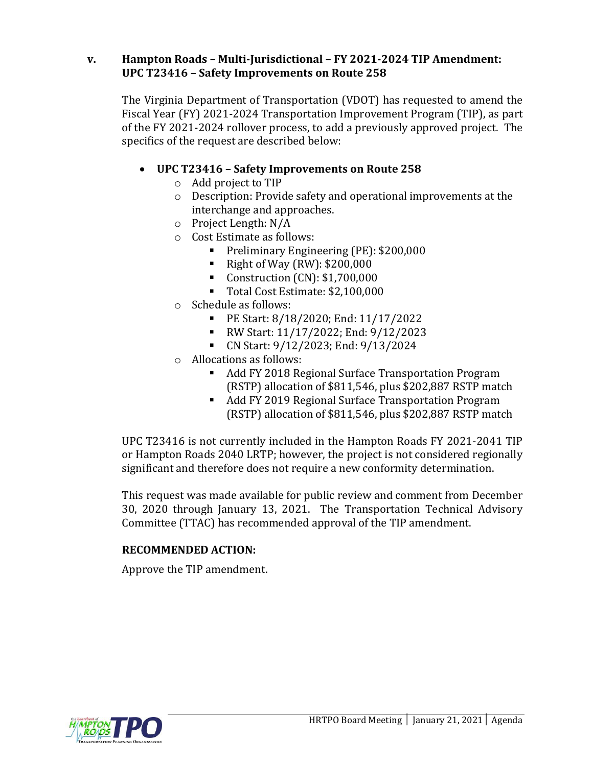## **v. Hampton Roads – Multi-Jurisdictional – FY 2021-2024 TIP Amendment: UPC T23416 – Safety Improvements on Route 258**

The Virginia Department of Transportation (VDOT) has requested to amend the Fiscal Year (FY) 2021-2024 Transportation Improvement Program (TIP), as part of the FY 2021-2024 rollover process, to add a previously approved project. The specifics of the request are described below:

# • **UPC T23416 – Safety Improvements on Route 258**

- o Add project to TIP
- o Description: Provide safety and operational improvements at the interchange and approaches.
- o Project Length: N/A
- o Cost Estimate as follows:
	- Preliminary Engineering (PE): \$200,000
	- Right of Way  $(RW)$ : \$200,000
	- Construction (CN): \$1,700,000
	- Total Cost Estimate: \$2,100,000
- o Schedule as follows:
	- PE Start: 8/18/2020; End: 11/17/2022
	- RW Start: 11/17/2022; End: 9/12/2023
	- CN Start: 9/12/2023; End: 9/13/2024
- o Allocations as follows:
	- Add FY 2018 Regional Surface Transportation Program (RSTP) allocation of \$811,546, plus \$202,887 RSTP match
	- Add FY 2019 Regional Surface Transportation Program (RSTP) allocation of \$811,546, plus \$202,887 RSTP match

UPC T23416 is not currently included in the Hampton Roads FY 2021-2041 TIP or Hampton Roads 2040 LRTP; however, the project is not considered regionally significant and therefore does not require a new conformity determination.

This request was made available for public review and comment from December 30, 2020 through January 13, 2021. The Transportation Technical Advisory Committee (TTAC) has recommended approval of the TIP amendment.

#### **RECOMMENDED ACTION:**

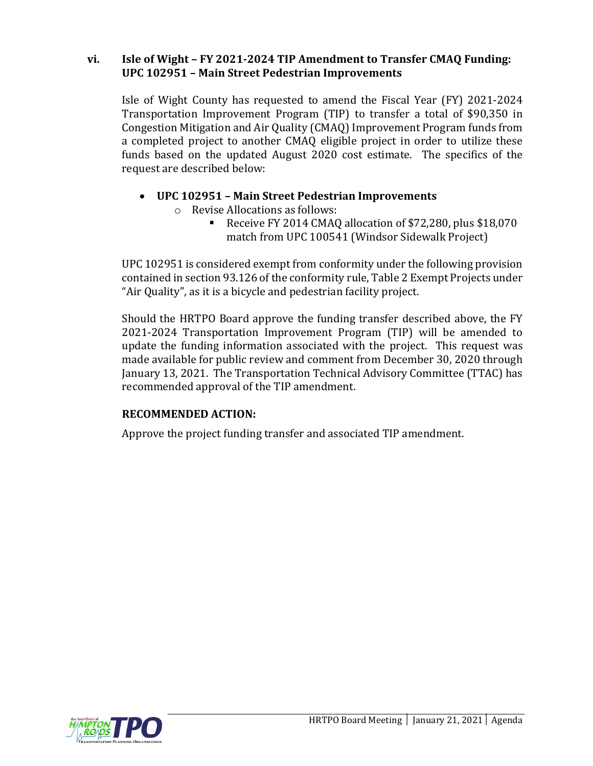### **vi. Isle of Wight – FY 2021-2024 TIP Amendment to Transfer CMAQ Funding: UPC 102951 – Main Street Pedestrian Improvements**

Isle of Wight County has requested to amend the Fiscal Year (FY) 2021-2024 Transportation Improvement Program (TIP) to transfer a total of \$90,350 in Congestion Mitigation and Air Quality (CMAQ) Improvement Program funds from a completed project to another CMAQ eligible project in order to utilize these funds based on the updated August 2020 cost estimate. The specifics of the request are described below:

- **UPC 102951 – Main Street Pedestrian Improvements**
	- o Revise Allocations as follows:
		- Receive FY 2014 CMAQ allocation of \$72,280, plus \$18,070 match from UPC 100541 (Windsor Sidewalk Project)

UPC 102951 is considered exempt from conformity under the following provision contained in section 93.126 of the conformity rule, Table 2 Exempt Projects under "Air Quality", as it is a bicycle and pedestrian facility project.

Should the HRTPO Board approve the funding transfer described above, the FY 2021-2024 Transportation Improvement Program (TIP) will be amended to update the funding information associated with the project. This request was made available for public review and comment from December 30, 2020 through January 13, 2021. The Transportation Technical Advisory Committee (TTAC) has recommended approval of the TIP amendment.

## **RECOMMENDED ACTION:**

Approve the project funding transfer and associated TIP amendment.

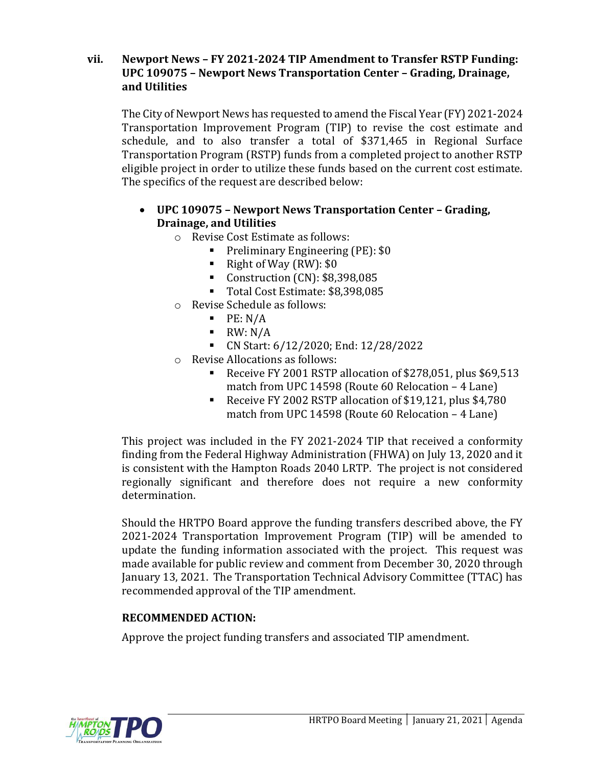### **vii. Newport News – FY 2021-2024 TIP Amendment to Transfer RSTP Funding: UPC 109075 – Newport News Transportation Center – Grading, Drainage, and Utilities**

The City of Newport News has requested to amend the Fiscal Year (FY) 2021-2024 Transportation Improvement Program (TIP) to revise the cost estimate and schedule, and to also transfer a total of \$371,465 in Regional Surface Transportation Program (RSTP) funds from a completed project to another RSTP eligible project in order to utilize these funds based on the current cost estimate. The specifics of the request are described below:

# • **UPC 109075 – Newport News Transportation Center – Grading, Drainage, and Utilities**

o Revise Cost Estimate as follows:

- Preliminary Engineering (PE): \$0
- Right of Way  $(RW)$ : \$0
- Construction (CN): \$8,398,085
- Total Cost Estimate: \$8,398,085
- o Revise Schedule as follows:
	- $\blacksquare$  PE: N/A
	- $\blacksquare$  RW: N/A
	- CN Start: 6/12/2020; End: 12/28/2022
- o Revise Allocations as follows:
	- Receive FY 2001 RSTP allocation of \$278,051, plus \$69,513 match from UPC 14598 (Route 60 Relocation – 4 Lane)
	- Receive FY 2002 RSTP allocation of \$19,121, plus \$4,780 match from UPC 14598 (Route 60 Relocation – 4 Lane)

This project was included in the FY 2021-2024 TIP that received a conformity finding from the Federal Highway Administration (FHWA) on July 13, 2020 and it is consistent with the Hampton Roads 2040 LRTP. The project is not considered regionally significant and therefore does not require a new conformity determination.

Should the HRTPO Board approve the funding transfers described above, the FY 2021-2024 Transportation Improvement Program (TIP) will be amended to update the funding information associated with the project. This request was made available for public review and comment from December 30, 2020 through January 13, 2021. The Transportation Technical Advisory Committee (TTAC) has recommended approval of the TIP amendment.

## **RECOMMENDED ACTION:**

Approve the project funding transfers and associated TIP amendment.

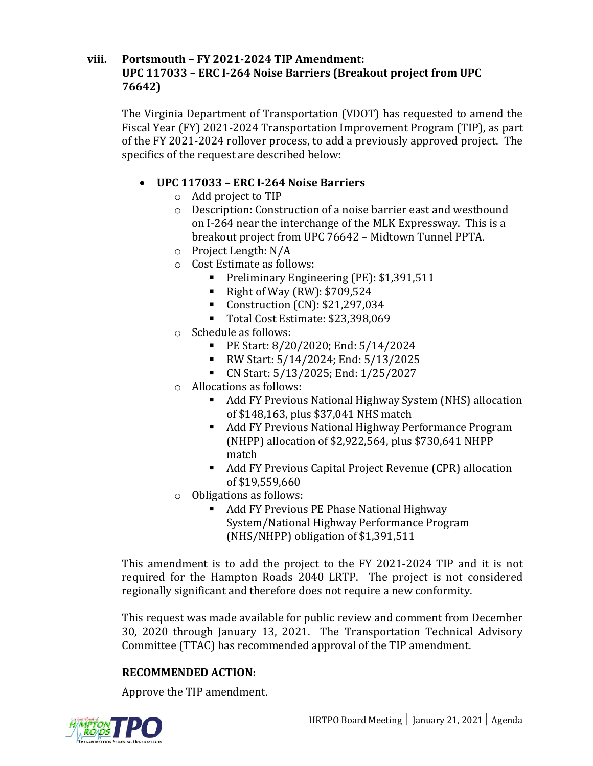## **viii. Portsmouth – FY 2021-2024 TIP Amendment: UPC 117033 – ERC I-264 Noise Barriers (Breakout project from UPC 76642)**

The Virginia Department of Transportation (VDOT) has requested to amend the Fiscal Year (FY) 2021-2024 Transportation Improvement Program (TIP), as part of the FY 2021-2024 rollover process, to add a previously approved project. The specifics of the request are described below:

# • **UPC 117033 – ERC I-264 Noise Barriers**

- o Add project to TIP
- o Description: Construction of a noise barrier east and westbound on I-264 near the interchange of the MLK Expressway. This is a breakout project from UPC 76642 – Midtown Tunnel PPTA.
- o Project Length: N/A
- o Cost Estimate as follows:
	- Preliminary Engineering (PE): \$1,391,511
	- Right of Way (RW):  $$709,524$
	- $\blacksquare$  Construction (CN): \$21,297,034
	- Total Cost Estimate: \$23,398,069
- o Schedule as follows:
	- PE Start: 8/20/2020; End: 5/14/2024
	- RW Start: 5/14/2024; End: 5/13/2025
	- CN Start: 5/13/2025; End: 1/25/2027
- o Allocations as follows:
	- Add FY Previous National Highway System (NHS) allocation of \$148,163, plus \$37,041 NHS match
	- Add FY Previous National Highway Performance Program (NHPP) allocation of \$2,922,564, plus \$730,641 NHPP match
	- Add FY Previous Capital Project Revenue (CPR) allocation of \$19,559,660
- o Obligations as follows:
	- Add FY Previous PE Phase National Highway System/National Highway Performance Program (NHS/NHPP) obligation of \$1,391,511

This amendment is to add the project to the FY 2021-2024 TIP and it is not required for the Hampton Roads 2040 LRTP. The project is not considered regionally significant and therefore does not require a new conformity.

This request was made available for public review and comment from December 30, 2020 through January 13, 2021. The Transportation Technical Advisory Committee (TTAC) has recommended approval of the TIP amendment.

## **RECOMMENDED ACTION:**

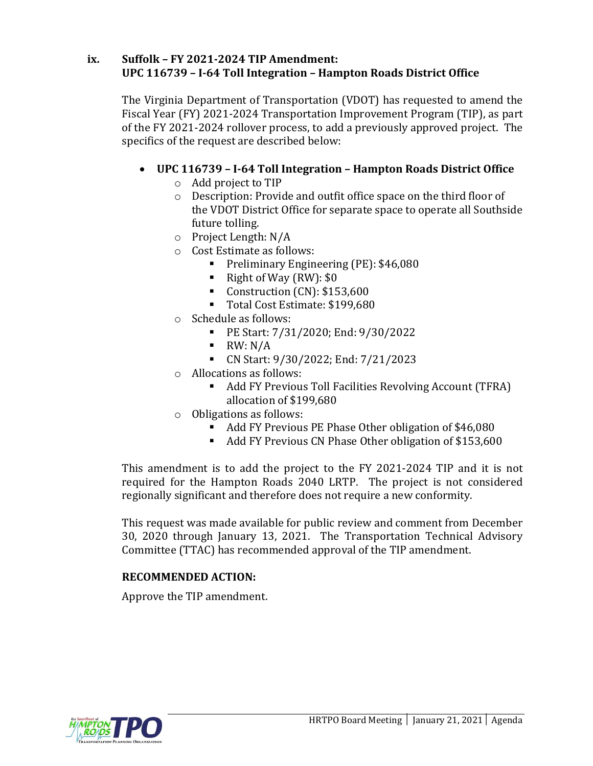## **ix. Suffolk – FY 2021-2024 TIP Amendment: UPC 116739 – I-64 Toll Integration – Hampton Roads District Office**

The Virginia Department of Transportation (VDOT) has requested to amend the Fiscal Year (FY) 2021-2024 Transportation Improvement Program (TIP), as part of the FY 2021-2024 rollover process, to add a previously approved project. The specifics of the request are described below:

# • **UPC 116739 – I-64 Toll Integration – Hampton Roads District Office**

- o Add project to TIP
- o Description: Provide and outfit office space on the third floor of the VDOT District Office for separate space to operate all Southside future tolling.
- o Project Length: N/A
- o Cost Estimate as follows:
	- **•** Preliminary Engineering (PE): \$46,080
	- Right of Way  $(RW)$ : \$0
	- Construction (CN): \$153,600
	- Total Cost Estimate: \$199,680
- o Schedule as follows:
	- PE Start: 7/31/2020; End: 9/30/2022
	- $\blacksquare$  RW: N/A
	- CN Start: 9/30/2022; End: 7/21/2023
- o Allocations as follows:
	- Add FY Previous Toll Facilities Revolving Account (TFRA) allocation of \$199,680
- o Obligations as follows:
	- Add FY Previous PE Phase Other obligation of \$46,080
	- Add FY Previous CN Phase Other obligation of \$153,600

This amendment is to add the project to the FY 2021-2024 TIP and it is not required for the Hampton Roads 2040 LRTP. The project is not considered regionally significant and therefore does not require a new conformity.

This request was made available for public review and comment from December 30, 2020 through January 13, 2021. The Transportation Technical Advisory Committee (TTAC) has recommended approval of the TIP amendment.

## **RECOMMENDED ACTION:**

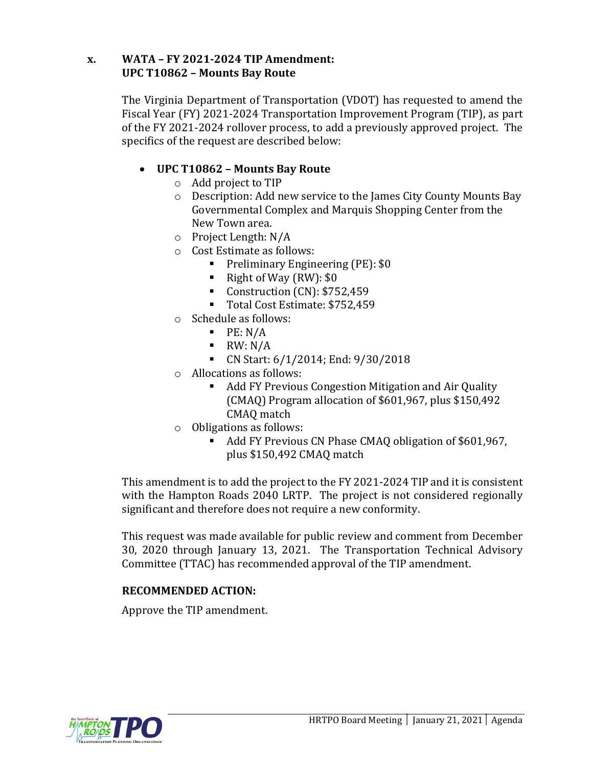## **x. WATA – FY 2021-2024 TIP Amendment: UPC T10862 – Mounts Bay Route**

The Virginia Department of Transportation (VDOT) has requested to amend the Fiscal Year (FY) 2021-2024 Transportation Improvement Program (TIP), as part of the FY 2021-2024 rollover process, to add a previously approved project. The specifics of the request are described below:

# • **UPC T10862 – Mounts Bay Route**

- o Add project to TIP
- o Description: Add new service to the James City County Mounts Bay Governmental Complex and Marquis Shopping Center from the New Town area.
- o Project Length: N/A
- o Cost Estimate as follows:
	- **•** Preliminary Engineering (PE): \$0
	- Right of Way  $(RW)$ : \$0
	- Construction (CN): \$752,459
	- Total Cost Estimate: \$752,459
- o Schedule as follows:
	- $\blacksquare$  PE: N/A
	- $\blacksquare$  RW: N/A
	- CN Start: 6/1/2014; End: 9/30/2018
- o Allocations as follows:
	- Add FY Previous Congestion Mitigation and Air Quality (CMAQ) Program allocation of \$601,967, plus \$150,492 CMAQ match
- o Obligations as follows:
	- Add FY Previous CN Phase CMAQ obligation of \$601,967, plus \$150,492 CMAQ match

This amendment is to add the project to the FY 2021-2024 TIP and it is consistent with the Hampton Roads 2040 LRTP. The project is not considered regionally significant and therefore does not require a new conformity.

This request was made available for public review and comment from December 30, 2020 through January 13, 2021. The Transportation Technical Advisory Committee (TTAC) has recommended approval of the TIP amendment.

## **RECOMMENDED ACTION:**